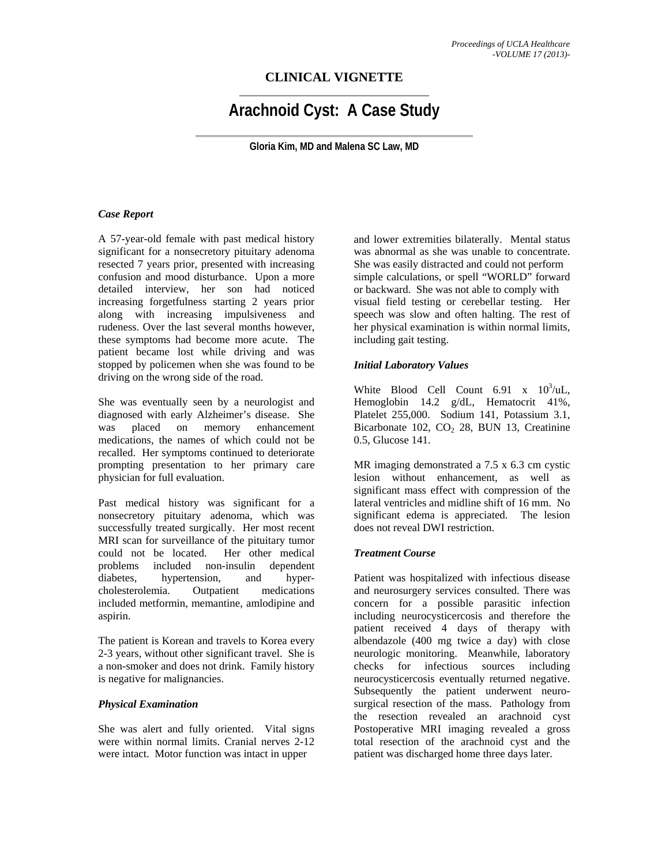# **CLINICAL VIGNETTE**

# **Arachnoid Cyst: A Case Study**

**Gloria Kim, MD and Malena SC Law, MD** 

#### *Case Report*

A 57-year-old female with past medical history significant for a nonsecretory pituitary adenoma resected 7 years prior, presented with increasing confusion and mood disturbance. Upon a more detailed interview, her son had noticed increasing forgetfulness starting 2 years prior along with increasing impulsiveness and rudeness. Over the last several months however, these symptoms had become more acute. The patient became lost while driving and was stopped by policemen when she was found to be driving on the wrong side of the road.

She was eventually seen by a neurologist and diagnosed with early Alzheimer's disease. She was placed on memory enhancement medications, the names of which could not be recalled. Her symptoms continued to deteriorate prompting presentation to her primary care physician for full evaluation.

Past medical history was significant for a nonsecretory pituitary adenoma, which was successfully treated surgically. Her most recent MRI scan for surveillance of the pituitary tumor could not be located. Her other medical problems included non-insulin dependent diabetes, hypertension, and hypercholesterolemia. Outpatient medications included metformin, memantine, amlodipine and aspirin.

The patient is Korean and travels to Korea every 2-3 years, without other significant travel. She is a non-smoker and does not drink. Family history is negative for malignancies.

#### *Physical Examination*

She was alert and fully oriented. Vital signs were within normal limits. Cranial nerves 2-12 were intact. Motor function was intact in upper

and lower extremities bilaterally. Mental status was abnormal as she was unable to concentrate. She was easily distracted and could not perform simple calculations, or spell "WORLD" forward or backward. She was not able to comply with visual field testing or cerebellar testing. Her speech was slow and often halting. The rest of her physical examination is within normal limits, including gait testing.

#### *Initial Laboratory Values*

White Blood Cell Count  $6.91 \times 10^3/\text{uL}$ , Hemoglobin 14.2 g/dL, Hematocrit 41%, Platelet 255,000. Sodium 141, Potassium 3.1, Bicarbonate 102,  $CO<sub>2</sub>$  28, BUN 13, Creatinine 0.5, Glucose 141.

MR imaging demonstrated a 7.5 x 6.3 cm cystic lesion without enhancement, as well as significant mass effect with compression of the lateral ventricles and midline shift of 16 mm. No significant edema is appreciated. The lesion does not reveal DWI restriction.

#### *Treatment Course*

Patient was hospitalized with infectious disease and neurosurgery services consulted. There was concern for a possible parasitic infection including neurocysticercosis and therefore the patient received 4 days of therapy with albendazole (400 mg twice a day) with close neurologic monitoring. Meanwhile, laboratory checks for infectious sources including neurocysticercosis eventually returned negative. Subsequently the patient underwent neurosurgical resection of the mass. Pathology from the resection revealed an arachnoid cyst Postoperative MRI imaging revealed a gross total resection of the arachnoid cyst and the patient was discharged home three days later.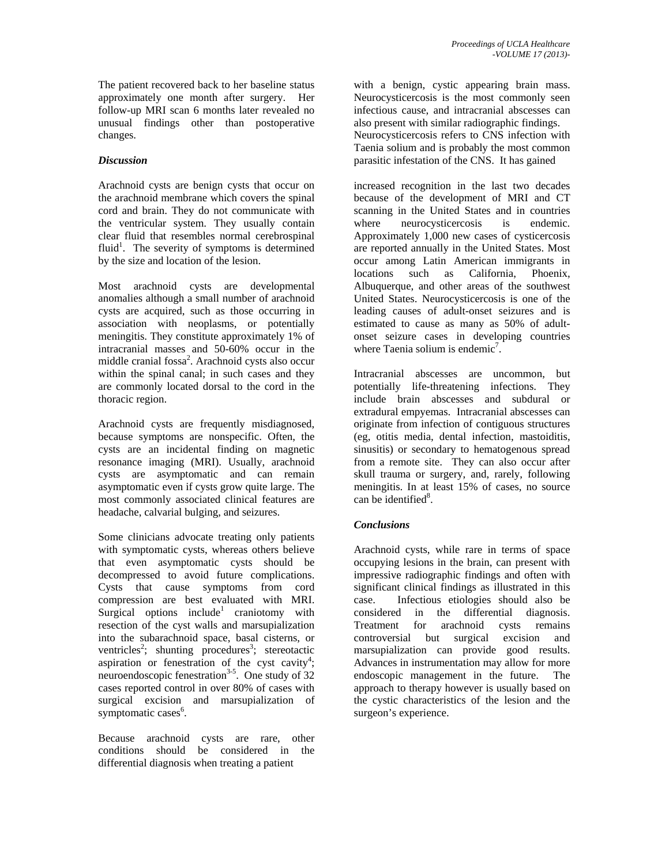The patient recovered back to her baseline status approximately one month after surgery. Her follow-up MRI scan 6 months later revealed no unusual findings other than postoperative changes.

### *Discussion*

Arachnoid cysts are benign cysts that occur on the arachnoid membrane which covers the spinal cord and brain. They do not communicate with the ventricular system. They usually contain clear fluid that resembles normal cerebrospinal fluid<sup>1</sup>. The severity of symptoms is determined by the size and location of the lesion.

Most arachnoid cysts are developmental anomalies although a small number of arachnoid cysts are acquired, such as those occurring in association with neoplasms, or potentially meningitis. They constitute approximately 1% of intracranial masses and 50-60% occur in the middle cranial fossa<sup>2</sup>. Arachnoid cysts also occur within the spinal canal; in such cases and they are commonly located dorsal to the cord in the thoracic region.

Arachnoid cysts are frequently misdiagnosed, because symptoms are nonspecific. Often, the cysts are an incidental finding on magnetic resonance imaging (MRI). Usually, arachnoid cysts are asymptomatic and can remain asymptomatic even if cysts grow quite large. The most commonly associated clinical features are headache, calvarial bulging, and seizures.

Some clinicians advocate treating only patients with symptomatic cysts, whereas others believe that even asymptomatic cysts should be decompressed to avoid future complications. Cysts that cause symptoms from cord compression are best evaluated with MRI. Surgical options include<sup>1</sup> craniotomy with resection of the cyst walls and marsupialization into the subarachnoid space, basal cisterns, or ventricles<sup>2</sup>; shunting procedures<sup>3</sup>; stereotactic aspiration or fenestration of the cyst cavity<sup>4</sup>; neuroendoscopic fenestration<sup>3-5</sup>. One study of  $32$ cases reported control in over 80% of cases with surgical excision and marsupialization of symptomatic cases<sup>6</sup>.

Because arachnoid cysts are rare, other conditions should be considered in the differential diagnosis when treating a patient

with a benign, cystic appearing brain mass. Neurocysticercosis is the most commonly seen infectious cause, and intracranial abscesses can also present with similar radiographic findings. Neurocysticercosis refers to CNS infection with Taenia solium and is probably the most common parasitic infestation of the CNS. It has gained

increased recognition in the last two decades because of the development of MRI and CT scanning in the United States and in countries where neurocysticercosis is endemic. Approximately 1,000 new cases of cysticercosis are reported annually in the United States. Most occur among Latin American immigrants in locations such as California, Phoenix, Albuquerque, and other areas of the southwest United States. Neurocysticercosis is one of the leading causes of adult-onset seizures and is estimated to cause as many as 50% of adultonset seizure cases in developing countries where Taenia solium is endemic<sup>7</sup>.

Intracranial abscesses are uncommon, but potentially life-threatening infections. They include brain abscesses and [subdural](http://emedicine.medscape.com/article/1168415-overview) or extradural empyemas. Intracranial abscesses can originate from infection of contiguous structures (eg, [otitis media](http://www.medscape.com/resource/otitis-media), dental infection, mastoiditis, sinusitis) or secondary to hematogenous spread from a remote site. They can also occur after skull trauma or surgery, and, rarely, following [meningitis](http://emedicine.medscape.com/article/232915-overview). In at least 15% of cases, no source can be identified<sup>8</sup>.

## *Conclusions*

Arachnoid cysts, while rare in terms of space occupying lesions in the brain, can present with impressive radiographic findings and often with significant clinical findings as illustrated in this case. Infectious etiologies should also be considered in the differential diagnosis. Treatment for arachnoid cysts remains controversial but surgical excision and marsupialization can provide good results. Advances in instrumentation may allow for more endoscopic management in the future. The approach to therapy however is usually based on the cystic characteristics of the lesion and the surgeon's experience.